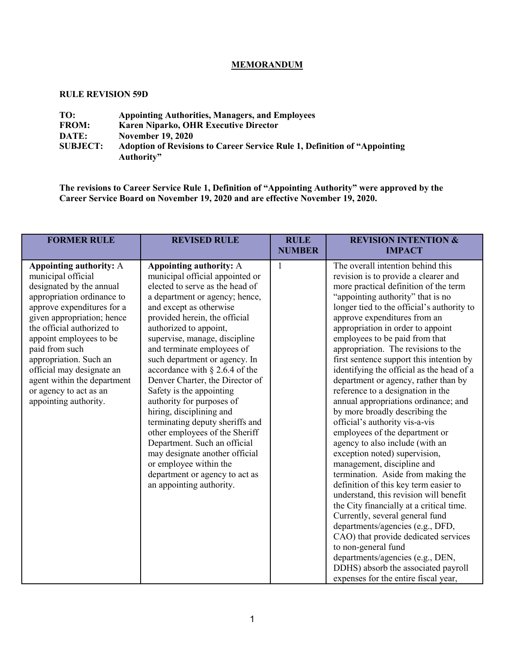# **MEMORANDUM**

#### **RULE REVISION 59D**

| TO:             | <b>Appointing Authorities, Managers, and Employees</b>                            |
|-----------------|-----------------------------------------------------------------------------------|
| <b>FROM:</b>    | Karen Niparko, OHR Executive Director                                             |
| DATE:           | <b>November 19, 2020</b>                                                          |
| <b>SUBJECT:</b> | <b>Adoption of Revisions to Career Service Rule 1, Definition of "Appointing"</b> |
|                 | Authority"                                                                        |

**The revisions to Career Service Rule 1, Definition of "Appointing Authority" were approved by the Career Service Board on November 19, 2020 and are effective November 19, 2020.**

| <b>FORMER RULE</b>                                                                                                                                                                                                                                                                                                                                                                      | <b>REVISED RULE</b>                                                                                                                                                                                                                                                                                                                                                                                                                                                                                                                                                                                                                                                                                               | <b>RULE</b><br><b>NUMBER</b> | <b>REVISION INTENTION &amp;</b><br><b>IMPACT</b>                                                                                                                                                                                                                                                                                                                                                                                                                                                                                                                                                                                                                                                                                                                                                                                                                                                                                                                                                                                                                                                                                                                                                        |
|-----------------------------------------------------------------------------------------------------------------------------------------------------------------------------------------------------------------------------------------------------------------------------------------------------------------------------------------------------------------------------------------|-------------------------------------------------------------------------------------------------------------------------------------------------------------------------------------------------------------------------------------------------------------------------------------------------------------------------------------------------------------------------------------------------------------------------------------------------------------------------------------------------------------------------------------------------------------------------------------------------------------------------------------------------------------------------------------------------------------------|------------------------------|---------------------------------------------------------------------------------------------------------------------------------------------------------------------------------------------------------------------------------------------------------------------------------------------------------------------------------------------------------------------------------------------------------------------------------------------------------------------------------------------------------------------------------------------------------------------------------------------------------------------------------------------------------------------------------------------------------------------------------------------------------------------------------------------------------------------------------------------------------------------------------------------------------------------------------------------------------------------------------------------------------------------------------------------------------------------------------------------------------------------------------------------------------------------------------------------------------|
| Appointing authority: A<br>municipal official<br>designated by the annual<br>appropriation ordinance to<br>approve expenditures for a<br>given appropriation; hence<br>the official authorized to<br>appoint employees to be<br>paid from such<br>appropriation. Such an<br>official may designate an<br>agent within the department<br>or agency to act as an<br>appointing authority. | Appointing authority: A<br>municipal official appointed or<br>elected to serve as the head of<br>a department or agency; hence,<br>and except as otherwise<br>provided herein, the official<br>authorized to appoint,<br>supervise, manage, discipline<br>and terminate employees of<br>such department or agency. In<br>accordance with $\S$ 2.6.4 of the<br>Denver Charter, the Director of<br>Safety is the appointing<br>authority for purposes of<br>hiring, disciplining and<br>terminating deputy sheriffs and<br>other employees of the Sheriff<br>Department. Such an official<br>may designate another official<br>or employee within the<br>department or agency to act as<br>an appointing authority. | $\mathbf{1}$                 | The overall intention behind this<br>revision is to provide a clearer and<br>more practical definition of the term<br>"appointing authority" that is no<br>longer tied to the official's authority to<br>approve expenditures from an<br>appropriation in order to appoint<br>employees to be paid from that<br>appropriation. The revisions to the<br>first sentence support this intention by<br>identifying the official as the head of a<br>department or agency, rather than by<br>reference to a designation in the<br>annual appropriations ordinance; and<br>by more broadly describing the<br>official's authority vis-a-vis<br>employees of the department or<br>agency to also include (with an<br>exception noted) supervision,<br>management, discipline and<br>termination. Aside from making the<br>definition of this key term easier to<br>understand, this revision will benefit<br>the City financially at a critical time.<br>Currently, several general fund<br>departments/agencies (e.g., DFD,<br>CAO) that provide dedicated services<br>to non-general fund<br>departments/agencies (e.g., DEN,<br>DDHS) absorb the associated payroll<br>expenses for the entire fiscal year, |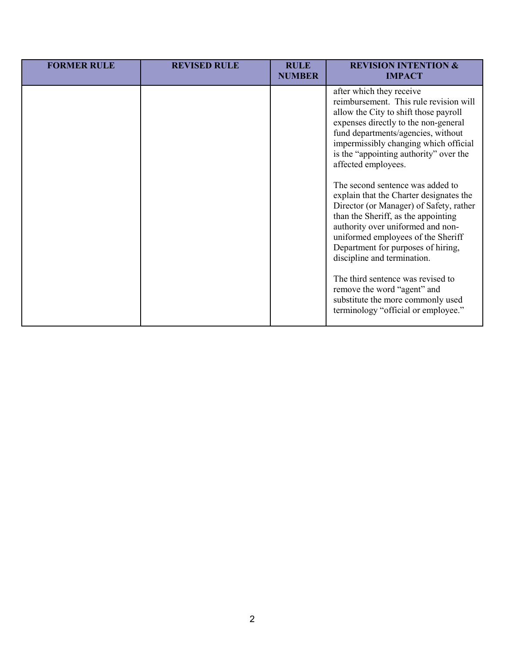| <b>FORMER RULE</b> | <b>REVISED RULE</b> | <b>RULE</b><br><b>NUMBER</b> | <b>REVISION INTENTION &amp;</b><br><b>IMPACT</b>                                                                                                                                                                                                                                                                                                                                                                                                                                                                                                                                                                                                                                                                                                                     |
|--------------------|---------------------|------------------------------|----------------------------------------------------------------------------------------------------------------------------------------------------------------------------------------------------------------------------------------------------------------------------------------------------------------------------------------------------------------------------------------------------------------------------------------------------------------------------------------------------------------------------------------------------------------------------------------------------------------------------------------------------------------------------------------------------------------------------------------------------------------------|
|                    |                     |                              | after which they receive<br>reimbursement. This rule revision will<br>allow the City to shift those payroll<br>expenses directly to the non-general<br>fund departments/agencies, without<br>impermissibly changing which official<br>is the "appointing authority" over the<br>affected employees.<br>The second sentence was added to<br>explain that the Charter designates the<br>Director (or Manager) of Safety, rather<br>than the Sheriff, as the appointing<br>authority over uniformed and non-<br>uniformed employees of the Sheriff<br>Department for purposes of hiring,<br>discipline and termination.<br>The third sentence was revised to<br>remove the word "agent" and<br>substitute the more commonly used<br>terminology "official or employee." |